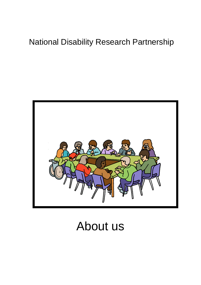# National Disability Research Partnership



# About us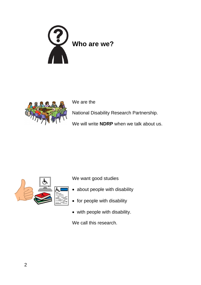



We are the

National Disability Research Partnership.

We will write **NDRP** when we talk about us.



We want good studies

- about people with disability
- for people with disability
- with people with disability.

We call this research.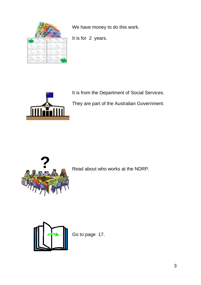

We have money to do this work.

It is for 2 years.



It is from the Department of Social Services.

They are part of the Australian Government.



Read about who works at the NDRP.



Go to page 17.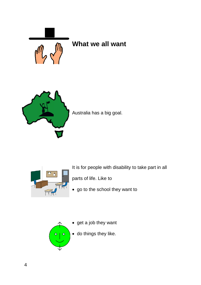

### **What we all want**



Australia has a big goal.



It is for people with disability to take part in all

parts of life. Like to

• go to the school they want to

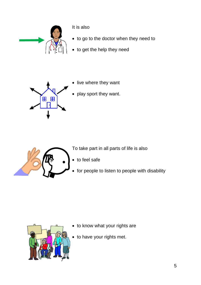

It is also

- to go to the doctor when they need to
- to get the help they need



- live where they want
- play sport they want.



To take part in all parts of life is also

- to feel safe
- for people to listen to people with disability



- to know what your rights are
- to have your rights met.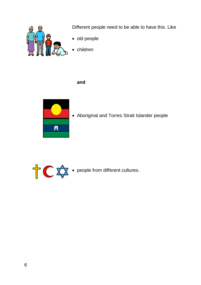

Different people need to be able to have this. Like

- old people
- children

#### **and**



• Aboriginal and Torres Strait Islander people

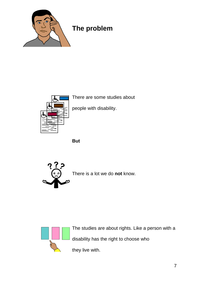

### **The problem**



There are some studies about

people with disability.

**But**



There is a lot we do **not** know.



The studies are about rights. Like a person with a disability has the right to choose who

they live with.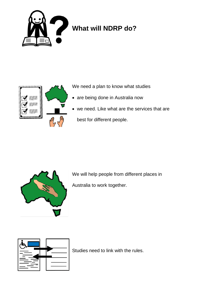

# **What will NDRP do?**



We need a plan to know what studies

- are being done in Australia now
- we need. Like what are the services that are best for different people.



We will help people from different places in Australia to work together.



Studies need to link with the rules.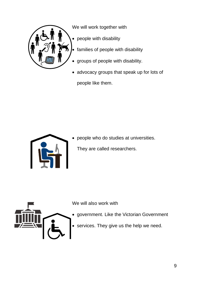

We will work together with

- people with disability
- families of people with disability
- groups of people with disability.
- advocacy groups that speak up for lots of people like them.



• people who do studies at universities. They are called researchers.



We will also work with

- government. Like the Victorian Government
- services. They give us the help we need.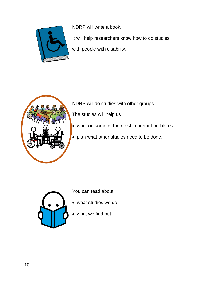

NDRP will write a book.

It will help researchers know how to do studies with people with disability.



NDRP will do studies with other groups.

The studies will help us

- work on some of the most important problems
- plan what other studies need to be done.



You can read about

- what studies we do
- what we find out.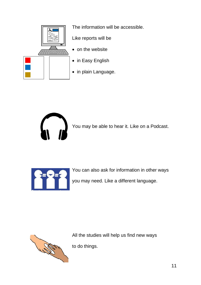

The information will be accessible.

Like reports will be

- on the website
- in Easy English
- in plain Language.



You may be able to hear it. Like on a Podcast.



You can also ask for information in other ways you may need. Like a different language.



All the studies will help us find new ways

to do things.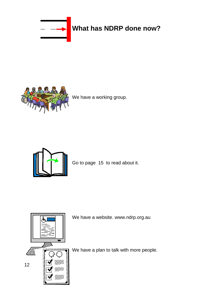

# **What has NDRP done now?**



We have a working group.



Go to page 15 to read about it.



We have a website. www.ndrp.org.au

We have a plan to talk with more people.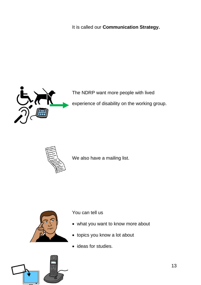It is called our **Communication Strategy.**



The NDRP want more people with lived

experience of disability on the working group.



We also have a mailing list.



You can tell us

- what you want to know more about
- topics you know a lot about
- ideas for studies.

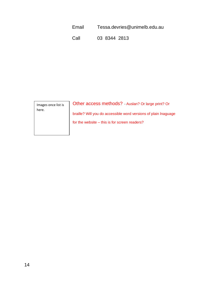Email Tessa.devries@unimelb.edu.au

Call 03 8344 2813

Images once list is here.

Other access methods? - Auslan? Or large print? Or braille? Will you do accessible word versions of plain lnaguage for the website – this is for screen readers?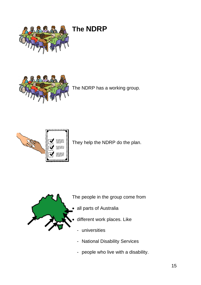

# **The NDRP**



The NDRP has a working group.



They help the NDRP do the plan.



The people in the group come from

- all parts of Australia
- different work places. Like
	- universities
	- National Disability Services
	- people who live with a disability.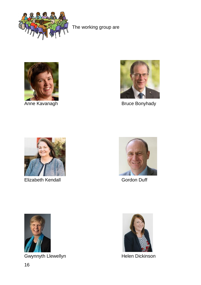

The working group are





Anne Kavanagh Bruce Bonyhady



Elizabeth Kendall Gordon Duff





Gwynnyth Llewellyn **Helen Dickinson** 

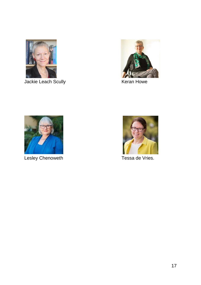

Jackie Leach Scully **Keran Howe** 





Lesley Chenoweth **Tessa de Vries**.